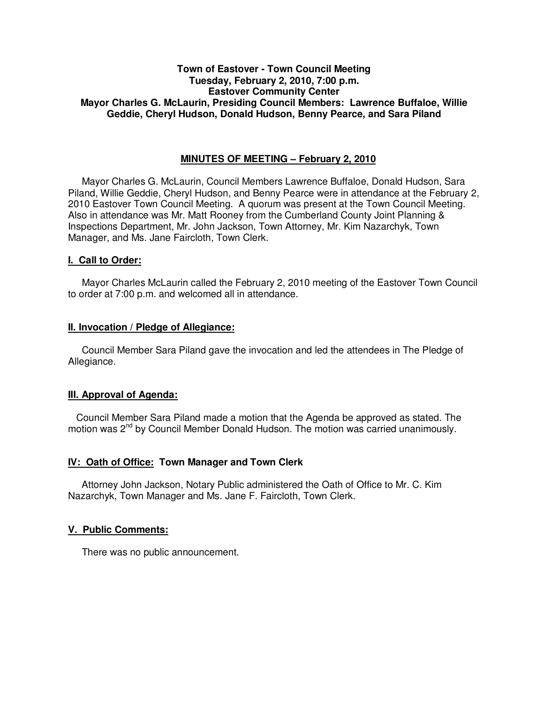## **Town of Eastover - Town Council Meeting Tuesday, February 2, 2010, 7:00 p.m. Eastover Community Center Mayor Charles G. McLaurin, Presiding Council Members: Lawrence Buffaloe, Willie Geddie, Cheryl Hudson, Donald Hudson, Benny Pearce, and Sara Piland**

## **MINUTES OF MEETING – February 2, 2010**

Mayor Charles G. McLaurin, Council Members Lawrence Buffaloe, Donald Hudson, Sara Piland, Willie Geddie, Cheryl Hudson, and Benny Pearce were in attendance at the February 2, 2010 Eastover Town Council Meeting. A quorum was present at the Town Council Meeting. Also in attendance was Mr. Matt Rooney from the Cumberland County Joint Planning & Inspections Department, Mr. John Jackson, Town Attorney, Mr. Kim Nazarchyk, Town Manager, and Ms. Jane Faircloth, Town Clerk.

### **I. Call to Order:**

Mayor Charles McLaurin called the February 2, 2010 meeting of the Eastover Town Council to order at 7:00 p.m. and welcomed all in attendance.

### **II. Invocation / Pledge of Allegiance:**

 Council Member Sara Piland gave the invocation and led the attendees in The Pledge of Allegiance.

### **III. Approval of Agenda:**

 Council Member Sara Piland made a motion that the Agenda be approved as stated. The motion was  $2<sup>nd</sup>$  by Council Member Donald Hudson. The motion was carried unanimously.

### **IV: Oath of Office: Town Manager and Town Clerk**

Attorney John Jackson, Notary Public administered the Oath of Office to Mr. C. Kim Nazarchyk, Town Manager and Ms. Jane F. Faircloth, Town Clerk.

### **V. Public Comments:**

There was no public announcement.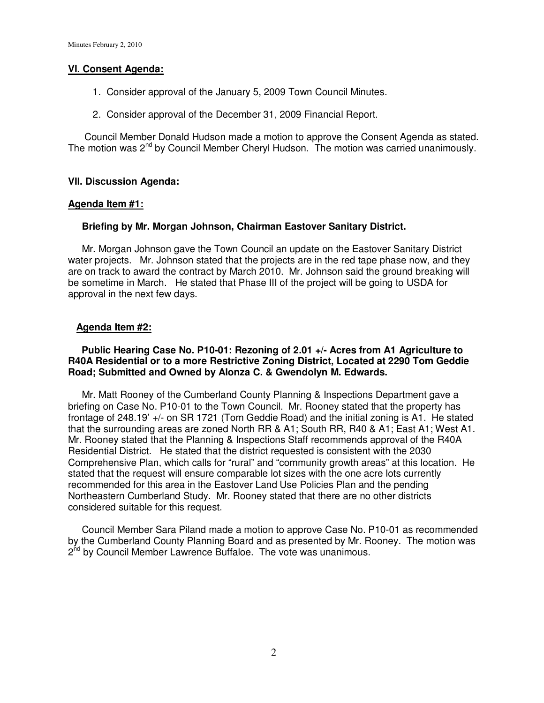## **VI. Consent Agenda:**

- 1. Consider approval of the January 5, 2009 Town Council Minutes.
- 2. Consider approval of the December 31, 2009 Financial Report.

 Council Member Donald Hudson made a motion to approve the Consent Agenda as stated. The motion was 2<sup>nd</sup> by Council Member Cheryl Hudson. The motion was carried unanimously.

## **VII. Discussion Agenda:**

### **Agenda Item #1:**

## **Briefing by Mr. Morgan Johnson, Chairman Eastover Sanitary District.**

 Mr. Morgan Johnson gave the Town Council an update on the Eastover Sanitary District water projects. Mr. Johnson stated that the projects are in the red tape phase now, and they are on track to award the contract by March 2010. Mr. Johnson said the ground breaking will be sometime in March. He stated that Phase III of the project will be going to USDA for approval in the next few days.

## **Agenda Item #2:**

### **Public Hearing Case No. P10-01: Rezoning of 2.01 +/- Acres from A1 Agriculture to R40A Residential or to a more Restrictive Zoning District, Located at 2290 Tom Geddie Road; Submitted and Owned by Alonza C. & Gwendolyn M. Edwards.**

 Mr. Matt Rooney of the Cumberland County Planning & Inspections Department gave a briefing on Case No. P10-01 to the Town Council. Mr. Rooney stated that the property has frontage of 248.19' +/- on SR 1721 (Tom Geddie Road) and the initial zoning is A1. He stated that the surrounding areas are zoned North RR & A1; South RR, R40 & A1; East A1; West A1. Mr. Rooney stated that the Planning & Inspections Staff recommends approval of the R40A Residential District. He stated that the district requested is consistent with the 2030 Comprehensive Plan, which calls for "rural" and "community growth areas" at this location. He stated that the request will ensure comparable lot sizes with the one acre lots currently recommended for this area in the Eastover Land Use Policies Plan and the pending Northeastern Cumberland Study. Mr. Rooney stated that there are no other districts considered suitable for this request.

 Council Member Sara Piland made a motion to approve Case No. P10-01 as recommended by the Cumberland County Planning Board and as presented by Mr. Rooney. The motion was 2<sup>nd</sup> by Council Member Lawrence Buffaloe. The vote was unanimous.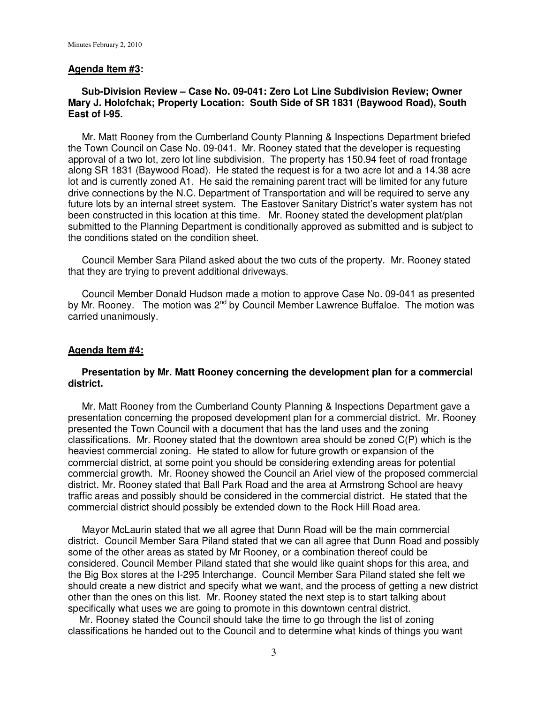#### **Agenda Item #3:**

## **Sub-Division Review – Case No. 09-041: Zero Lot Line Subdivision Review; Owner Mary J. Holofchak; Property Location: South Side of SR 1831 (Baywood Road), South East of I-95.**

 Mr. Matt Rooney from the Cumberland County Planning & Inspections Department briefed the Town Council on Case No. 09-041. Mr. Rooney stated that the developer is requesting approval of a two lot, zero lot line subdivision. The property has 150.94 feet of road frontage along SR 1831 (Baywood Road). He stated the request is for a two acre lot and a 14.38 acre lot and is currently zoned A1. He said the remaining parent tract will be limited for any future drive connections by the N.C. Department of Transportation and will be required to serve any future lots by an internal street system. The Eastover Sanitary District's water system has not been constructed in this location at this time. Mr. Rooney stated the development plat/plan submitted to the Planning Department is conditionally approved as submitted and is subject to the conditions stated on the condition sheet.

 Council Member Sara Piland asked about the two cuts of the property. Mr. Rooney stated that they are trying to prevent additional driveways.

 Council Member Donald Hudson made a motion to approve Case No. 09-041 as presented by Mr. Rooney. The motion was 2<sup>nd</sup> by Council Member Lawrence Buffaloe. The motion was carried unanimously.

#### **Agenda Item #4:**

### **Presentation by Mr. Matt Rooney concerning the development plan for a commercial district.**

 Mr. Matt Rooney from the Cumberland County Planning & Inspections Department gave a presentation concerning the proposed development plan for a commercial district. Mr. Rooney presented the Town Council with a document that has the land uses and the zoning classifications. Mr. Rooney stated that the downtown area should be zoned C(P) which is the heaviest commercial zoning. He stated to allow for future growth or expansion of the commercial district, at some point you should be considering extending areas for potential commercial growth. Mr. Rooney showed the Council an Ariel view of the proposed commercial district. Mr. Rooney stated that Ball Park Road and the area at Armstrong School are heavy traffic areas and possibly should be considered in the commercial district. He stated that the commercial district should possibly be extended down to the Rock Hill Road area.

 Mayor McLaurin stated that we all agree that Dunn Road will be the main commercial district. Council Member Sara Piland stated that we can all agree that Dunn Road and possibly some of the other areas as stated by Mr Rooney, or a combination thereof could be considered. Council Member Piland stated that she would like quaint shops for this area, and the Big Box stores at the I-295 Interchange. Council Member Sara Piland stated she felt we should create a new district and specify what we want, and the process of getting a new district other than the ones on this list. Mr. Rooney stated the next step is to start talking about specifically what uses we are going to promote in this downtown central district.

 Mr. Rooney stated the Council should take the time to go through the list of zoning classifications he handed out to the Council and to determine what kinds of things you want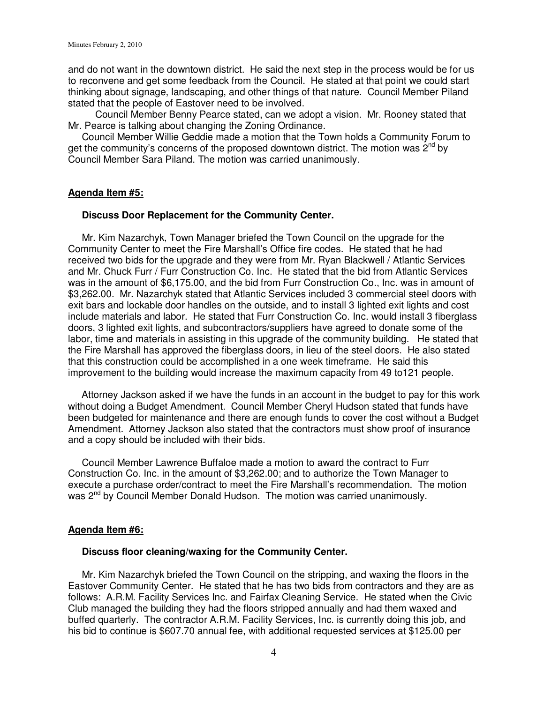and do not want in the downtown district. He said the next step in the process would be for us to reconvene and get some feedback from the Council. He stated at that point we could start thinking about signage, landscaping, and other things of that nature. Council Member Piland stated that the people of Eastover need to be involved.

 Council Member Benny Pearce stated, can we adopt a vision. Mr. Rooney stated that Mr. Pearce is talking about changing the Zoning Ordinance.

 Council Member Willie Geddie made a motion that the Town holds a Community Forum to get the community's concerns of the proposed downtown district. The motion was  $2^{nd}$  by Council Member Sara Piland. The motion was carried unanimously.

### **Agenda Item #5:**

#### **Discuss Door Replacement for the Community Center.**

Mr. Kim Nazarchyk, Town Manager briefed the Town Council on the upgrade for the Community Center to meet the Fire Marshall's Office fire codes. He stated that he had received two bids for the upgrade and they were from Mr. Ryan Blackwell / Atlantic Services and Mr. Chuck Furr / Furr Construction Co. Inc. He stated that the bid from Atlantic Services was in the amount of \$6,175.00, and the bid from Furr Construction Co., Inc. was in amount of \$3,262.00. Mr. Nazarchyk stated that Atlantic Services included 3 commercial steel doors with exit bars and lockable door handles on the outside, and to install 3 lighted exit lights and cost include materials and labor. He stated that Furr Construction Co. Inc. would install 3 fiberglass doors, 3 lighted exit lights, and subcontractors/suppliers have agreed to donate some of the labor, time and materials in assisting in this upgrade of the community building. He stated that the Fire Marshall has approved the fiberglass doors, in lieu of the steel doors. He also stated that this construction could be accomplished in a one week timeframe. He said this improvement to the building would increase the maximum capacity from 49 to121 people.

 Attorney Jackson asked if we have the funds in an account in the budget to pay for this work without doing a Budget Amendment. Council Member Cheryl Hudson stated that funds have been budgeted for maintenance and there are enough funds to cover the cost without a Budget Amendment. Attorney Jackson also stated that the contractors must show proof of insurance and a copy should be included with their bids.

Council Member Lawrence Buffaloe made a motion to award the contract to Furr Construction Co. Inc. in the amount of \$3,262.00; and to authorize the Town Manager to execute a purchase order/contract to meet the Fire Marshall's recommendation. The motion was 2<sup>nd</sup> by Council Member Donald Hudson. The motion was carried unanimously.

### **Agenda Item #6:**

### **Discuss floor cleaning/waxing for the Community Center.**

 Mr. Kim Nazarchyk briefed the Town Council on the stripping, and waxing the floors in the Eastover Community Center. He stated that he has two bids from contractors and they are as follows: A.R.M. Facility Services Inc. and Fairfax Cleaning Service. He stated when the Civic Club managed the building they had the floors stripped annually and had them waxed and buffed quarterly. The contractor A.R.M. Facility Services, Inc. is currently doing this job, and his bid to continue is \$607.70 annual fee, with additional requested services at \$125.00 per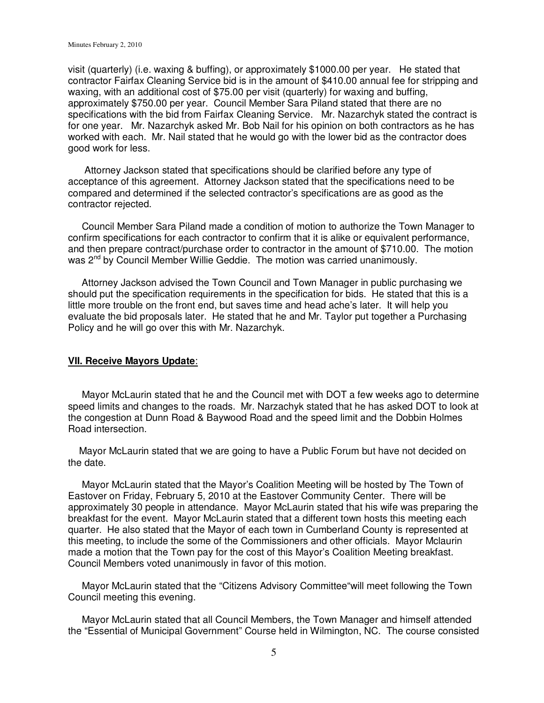visit (quarterly) (i.e. waxing & buffing), or approximately \$1000.00 per year. He stated that contractor Fairfax Cleaning Service bid is in the amount of \$410.00 annual fee for stripping and waxing, with an additional cost of \$75.00 per visit (quarterly) for waxing and buffing, approximately \$750.00 per year. Council Member Sara Piland stated that there are no specifications with the bid from Fairfax Cleaning Service. Mr. Nazarchyk stated the contract is for one year. Mr. Nazarchyk asked Mr. Bob Nail for his opinion on both contractors as he has worked with each. Mr. Nail stated that he would go with the lower bid as the contractor does good work for less.

 Attorney Jackson stated that specifications should be clarified before any type of acceptance of this agreement. Attorney Jackson stated that the specifications need to be compared and determined if the selected contractor's specifications are as good as the contractor rejected.

 Council Member Sara Piland made a condition of motion to authorize the Town Manager to confirm specifications for each contractor to confirm that it is alike or equivalent performance, and then prepare contract/purchase order to contractor in the amount of \$710.00. The motion was 2<sup>nd</sup> by Council Member Willie Geddie. The motion was carried unanimously.

 Attorney Jackson advised the Town Council and Town Manager in public purchasing we should put the specification requirements in the specification for bids. He stated that this is a little more trouble on the front end, but saves time and head ache's later. It will help you evaluate the bid proposals later. He stated that he and Mr. Taylor put together a Purchasing Policy and he will go over this with Mr. Nazarchyk.

### **VII. Receive Mayors Update**:

 Mayor McLaurin stated that he and the Council met with DOT a few weeks ago to determine speed limits and changes to the roads. Mr. Narzachyk stated that he has asked DOT to look at the congestion at Dunn Road & Baywood Road and the speed limit and the Dobbin Holmes Road intersection.

 Mayor McLaurin stated that we are going to have a Public Forum but have not decided on the date.

 Mayor McLaurin stated that the Mayor's Coalition Meeting will be hosted by The Town of Eastover on Friday, February 5, 2010 at the Eastover Community Center. There will be approximately 30 people in attendance. Mayor McLaurin stated that his wife was preparing the breakfast for the event. Mayor McLaurin stated that a different town hosts this meeting each quarter. He also stated that the Mayor of each town in Cumberland County is represented at this meeting, to include the some of the Commissioners and other officials. Mayor Mclaurin made a motion that the Town pay for the cost of this Mayor's Coalition Meeting breakfast. Council Members voted unanimously in favor of this motion.

 Mayor McLaurin stated that the "Citizens Advisory Committee"will meet following the Town Council meeting this evening.

 Mayor McLaurin stated that all Council Members, the Town Manager and himself attended the "Essential of Municipal Government" Course held in Wilmington, NC. The course consisted